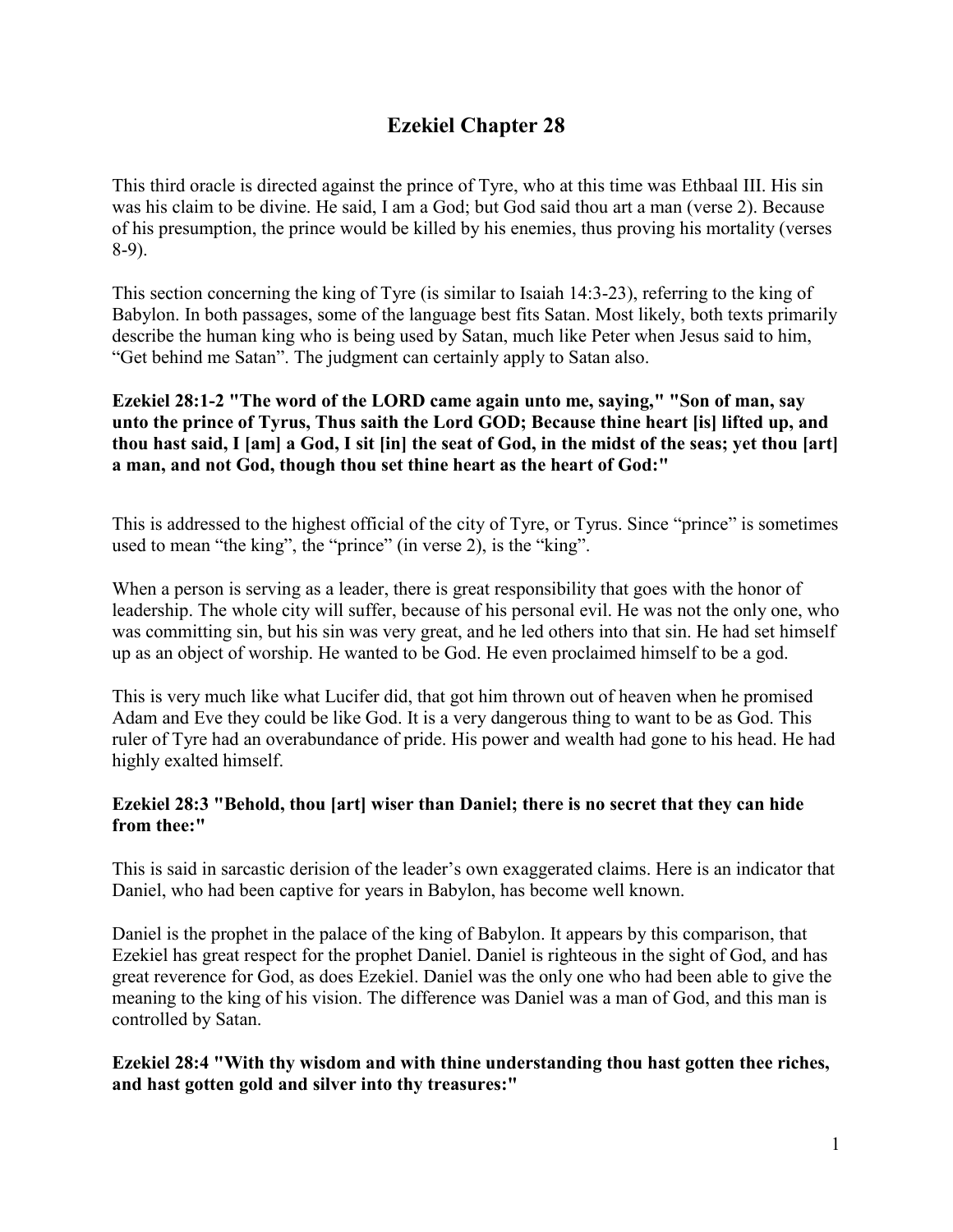# **Ezekiel Chapter 28**

This third oracle is directed against the prince of Tyre, who at this time was Ethbaal III. His sin was his claim to be divine. He said, I am a God; but God said thou art a man (verse 2). Because of his presumption, the prince would be killed by his enemies, thus proving his mortality (verses 8-9).

This section concerning the king of Tyre (is similar to Isaiah 14:3-23), referring to the king of Babylon. In both passages, some of the language best fits Satan. Most likely, both texts primarily describe the human king who is being used by Satan, much like Peter when Jesus said to him, "Get behind me Satan". The judgment can certainly apply to Satan also.

# **Ezekiel 28:1-2 "The word of the LORD came again unto me, saying," "Son of man, say unto the prince of Tyrus, Thus saith the Lord GOD; Because thine heart [is] lifted up, and thou hast said, I [am] a God, I sit [in] the seat of God, in the midst of the seas; yet thou [art] a man, and not God, though thou set thine heart as the heart of God:"**

This is addressed to the highest official of the city of Tyre, or Tyrus. Since "prince" is sometimes used to mean "the king", the "prince" (in verse 2), is the "king".

When a person is serving as a leader, there is great responsibility that goes with the honor of leadership. The whole city will suffer, because of his personal evil. He was not the only one, who was committing sin, but his sin was very great, and he led others into that sin. He had set himself up as an object of worship. He wanted to be God. He even proclaimed himself to be a god.

This is very much like what Lucifer did, that got him thrown out of heaven when he promised Adam and Eve they could be like God. It is a very dangerous thing to want to be as God. This ruler of Tyre had an overabundance of pride. His power and wealth had gone to his head. He had highly exalted himself.

# **Ezekiel 28:3 "Behold, thou [art] wiser than Daniel; there is no secret that they can hide from thee:"**

This is said in sarcastic derision of the leader's own exaggerated claims. Here is an indicator that Daniel, who had been captive for years in Babylon, has become well known.

Daniel is the prophet in the palace of the king of Babylon. It appears by this comparison, that Ezekiel has great respect for the prophet Daniel. Daniel is righteous in the sight of God, and has great reverence for God, as does Ezekiel. Daniel was the only one who had been able to give the meaning to the king of his vision. The difference was Daniel was a man of God, and this man is controlled by Satan.

# **Ezekiel 28:4 "With thy wisdom and with thine understanding thou hast gotten thee riches, and hast gotten gold and silver into thy treasures:"**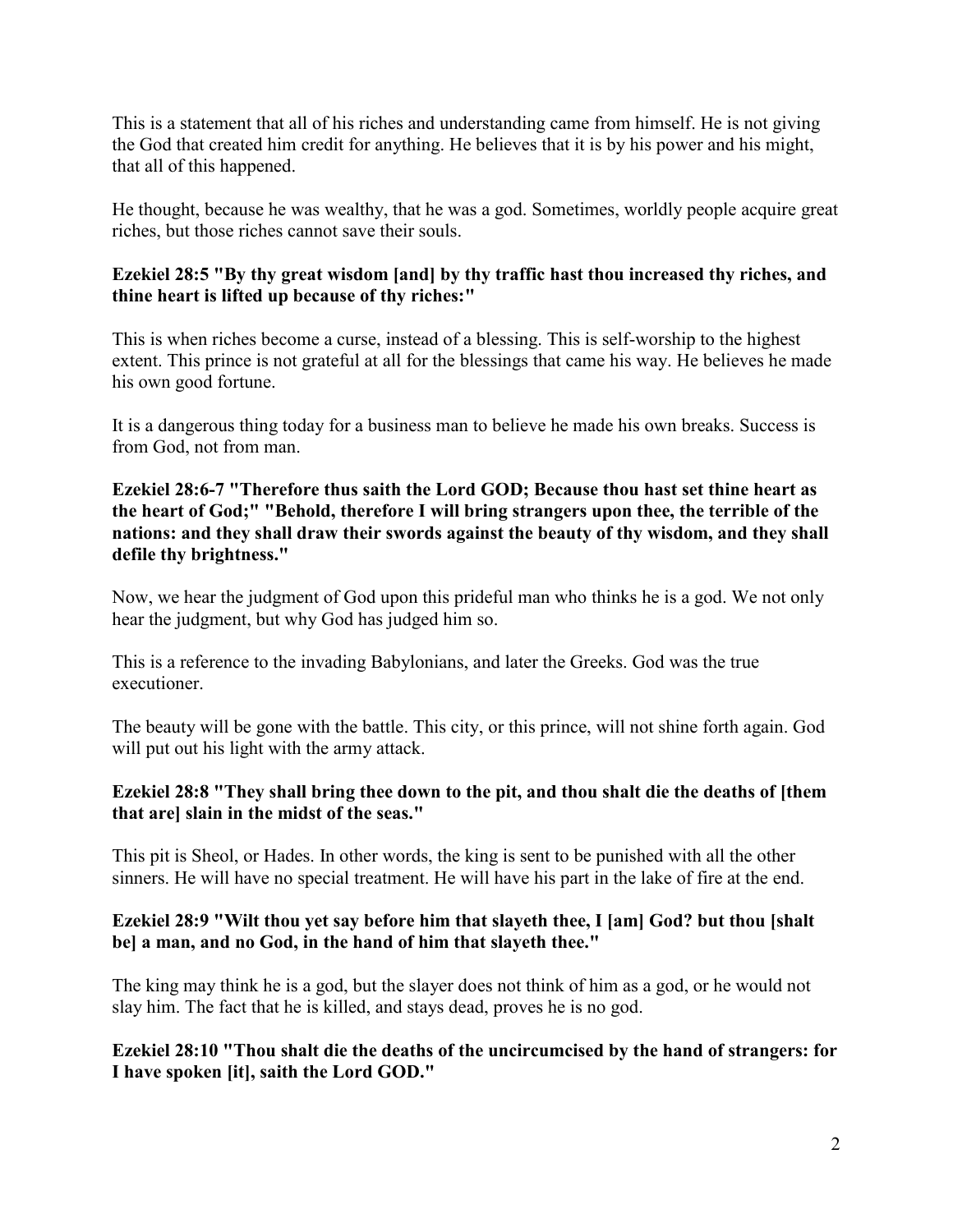This is a statement that all of his riches and understanding came from himself. He is not giving the God that created him credit for anything. He believes that it is by his power and his might, that all of this happened.

He thought, because he was wealthy, that he was a god. Sometimes, worldly people acquire great riches, but those riches cannot save their souls.

# **Ezekiel 28:5 "By thy great wisdom [and] by thy traffic hast thou increased thy riches, and thine heart is lifted up because of thy riches:"**

This is when riches become a curse, instead of a blessing. This is self-worship to the highest extent. This prince is not grateful at all for the blessings that came his way. He believes he made his own good fortune.

It is a dangerous thing today for a business man to believe he made his own breaks. Success is from God, not from man.

**Ezekiel 28:6-7 "Therefore thus saith the Lord GOD; Because thou hast set thine heart as the heart of God;" "Behold, therefore I will bring strangers upon thee, the terrible of the nations: and they shall draw their swords against the beauty of thy wisdom, and they shall defile thy brightness."**

Now, we hear the judgment of God upon this prideful man who thinks he is a god. We not only hear the judgment, but why God has judged him so.

This is a reference to the invading Babylonians, and later the Greeks. God was the true executioner.

The beauty will be gone with the battle. This city, or this prince, will not shine forth again. God will put out his light with the army attack.

# **Ezekiel 28:8 "They shall bring thee down to the pit, and thou shalt die the deaths of [them that are] slain in the midst of the seas."**

This pit is Sheol, or Hades. In other words, the king is sent to be punished with all the other sinners. He will have no special treatment. He will have his part in the lake of fire at the end.

# **Ezekiel 28:9 "Wilt thou yet say before him that slayeth thee, I [am] God? but thou [shalt be] a man, and no God, in the hand of him that slayeth thee."**

The king may think he is a god, but the slayer does not think of him as a god, or he would not slay him. The fact that he is killed, and stays dead, proves he is no god.

#### **Ezekiel 28:10 "Thou shalt die the deaths of the uncircumcised by the hand of strangers: for I have spoken [it], saith the Lord GOD."**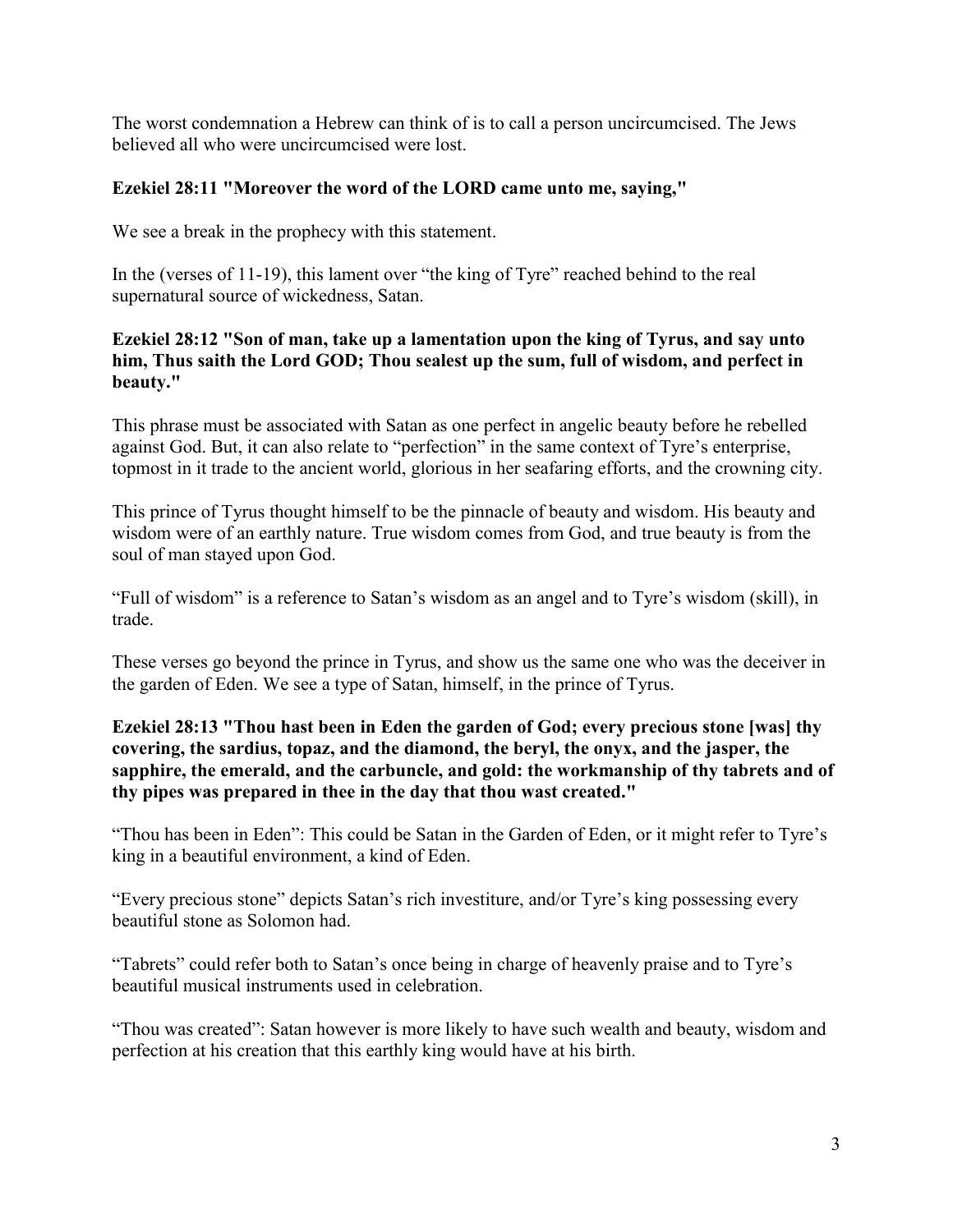The worst condemnation a Hebrew can think of is to call a person uncircumcised. The Jews believed all who were uncircumcised were lost.

# **Ezekiel 28:11 "Moreover the word of the LORD came unto me, saying,"**

We see a break in the prophecy with this statement.

In the (verses of 11-19), this lament over "the king of Tyre" reached behind to the real supernatural source of wickedness, Satan.

# **Ezekiel 28:12 "Son of man, take up a lamentation upon the king of Tyrus, and say unto him, Thus saith the Lord GOD; Thou sealest up the sum, full of wisdom, and perfect in beauty."**

This phrase must be associated with Satan as one perfect in angelic beauty before he rebelled against God. But, it can also relate to "perfection" in the same context of Tyre's enterprise, topmost in it trade to the ancient world, glorious in her seafaring efforts, and the crowning city.

This prince of Tyrus thought himself to be the pinnacle of beauty and wisdom. His beauty and wisdom were of an earthly nature. True wisdom comes from God, and true beauty is from the soul of man stayed upon God.

"Full of wisdom" is a reference to Satan's wisdom as an angel and to Tyre's wisdom (skill), in trade.

These verses go beyond the prince in Tyrus, and show us the same one who was the deceiver in the garden of Eden. We see a type of Satan, himself, in the prince of Tyrus.

### **Ezekiel 28:13 "Thou hast been in Eden the garden of God; every precious stone [was] thy covering, the sardius, topaz, and the diamond, the beryl, the onyx, and the jasper, the sapphire, the emerald, and the carbuncle, and gold: the workmanship of thy tabrets and of thy pipes was prepared in thee in the day that thou wast created."**

"Thou has been in Eden": This could be Satan in the Garden of Eden, or it might refer to Tyre's king in a beautiful environment, a kind of Eden.

"Every precious stone" depicts Satan's rich investiture, and/or Tyre's king possessing every beautiful stone as Solomon had.

"Tabrets" could refer both to Satan's once being in charge of heavenly praise and to Tyre's beautiful musical instruments used in celebration.

"Thou was created": Satan however is more likely to have such wealth and beauty, wisdom and perfection at his creation that this earthly king would have at his birth.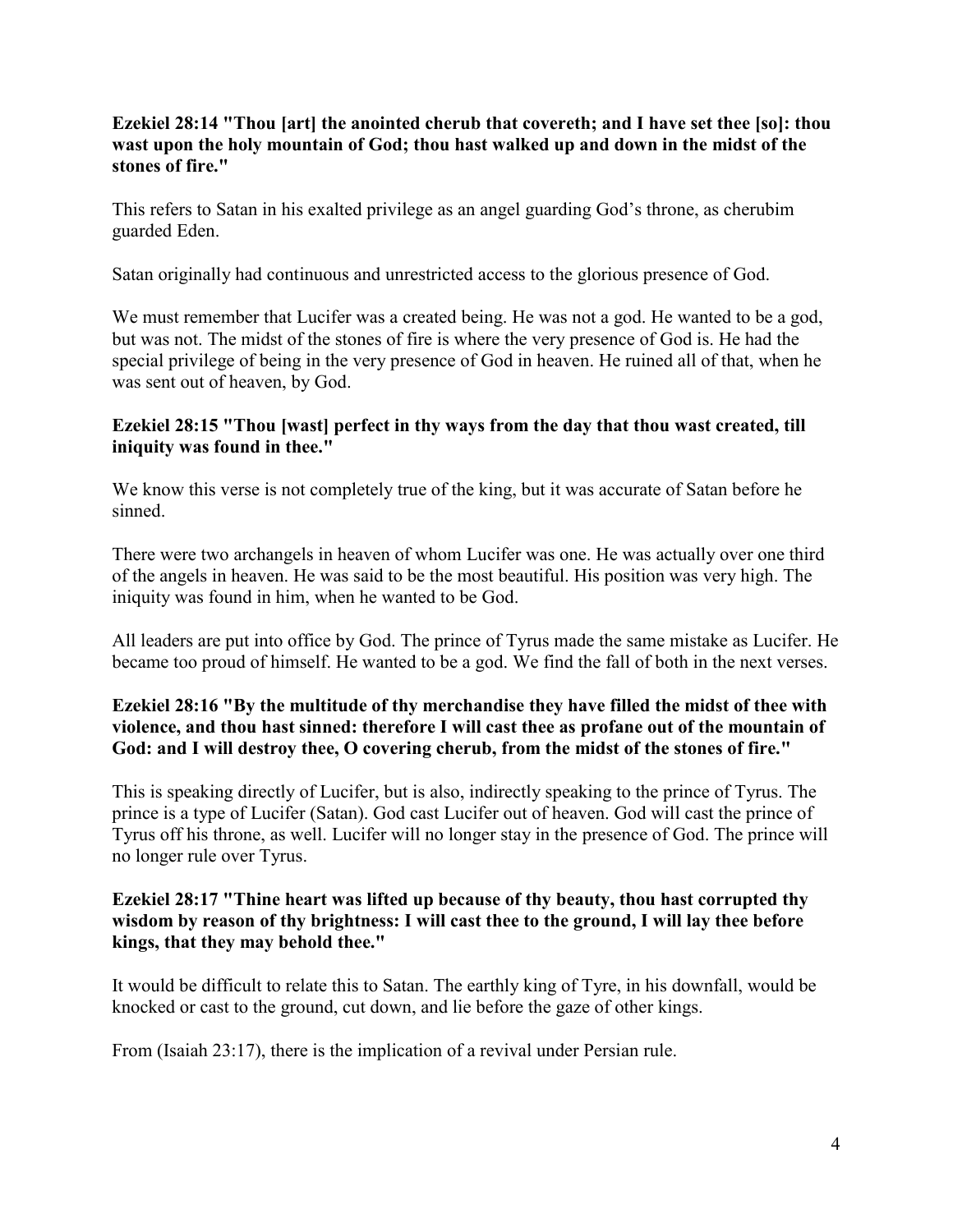# **Ezekiel 28:14 "Thou [art] the anointed cherub that covereth; and I have set thee [so]: thou wast upon the holy mountain of God; thou hast walked up and down in the midst of the stones of fire."**

This refers to Satan in his exalted privilege as an angel guarding God's throne, as cherubim guarded Eden.

Satan originally had continuous and unrestricted access to the glorious presence of God.

We must remember that Lucifer was a created being. He was not a god. He wanted to be a god, but was not. The midst of the stones of fire is where the very presence of God is. He had the special privilege of being in the very presence of God in heaven. He ruined all of that, when he was sent out of heaven, by God.

#### **Ezekiel 28:15 "Thou [wast] perfect in thy ways from the day that thou wast created, till iniquity was found in thee."**

We know this verse is not completely true of the king, but it was accurate of Satan before he sinned.

There were two archangels in heaven of whom Lucifer was one. He was actually over one third of the angels in heaven. He was said to be the most beautiful. His position was very high. The iniquity was found in him, when he wanted to be God.

All leaders are put into office by God. The prince of Tyrus made the same mistake as Lucifer. He became too proud of himself. He wanted to be a god. We find the fall of both in the next verses.

# **Ezekiel 28:16 "By the multitude of thy merchandise they have filled the midst of thee with violence, and thou hast sinned: therefore I will cast thee as profane out of the mountain of God: and I will destroy thee, O covering cherub, from the midst of the stones of fire."**

This is speaking directly of Lucifer, but is also, indirectly speaking to the prince of Tyrus. The prince is a type of Lucifer (Satan). God cast Lucifer out of heaven. God will cast the prince of Tyrus off his throne, as well. Lucifer will no longer stay in the presence of God. The prince will no longer rule over Tyrus.

#### **Ezekiel 28:17 "Thine heart was lifted up because of thy beauty, thou hast corrupted thy wisdom by reason of thy brightness: I will cast thee to the ground, I will lay thee before kings, that they may behold thee."**

It would be difficult to relate this to Satan. The earthly king of Tyre, in his downfall, would be knocked or cast to the ground, cut down, and lie before the gaze of other kings.

From (Isaiah 23:17), there is the implication of a revival under Persian rule.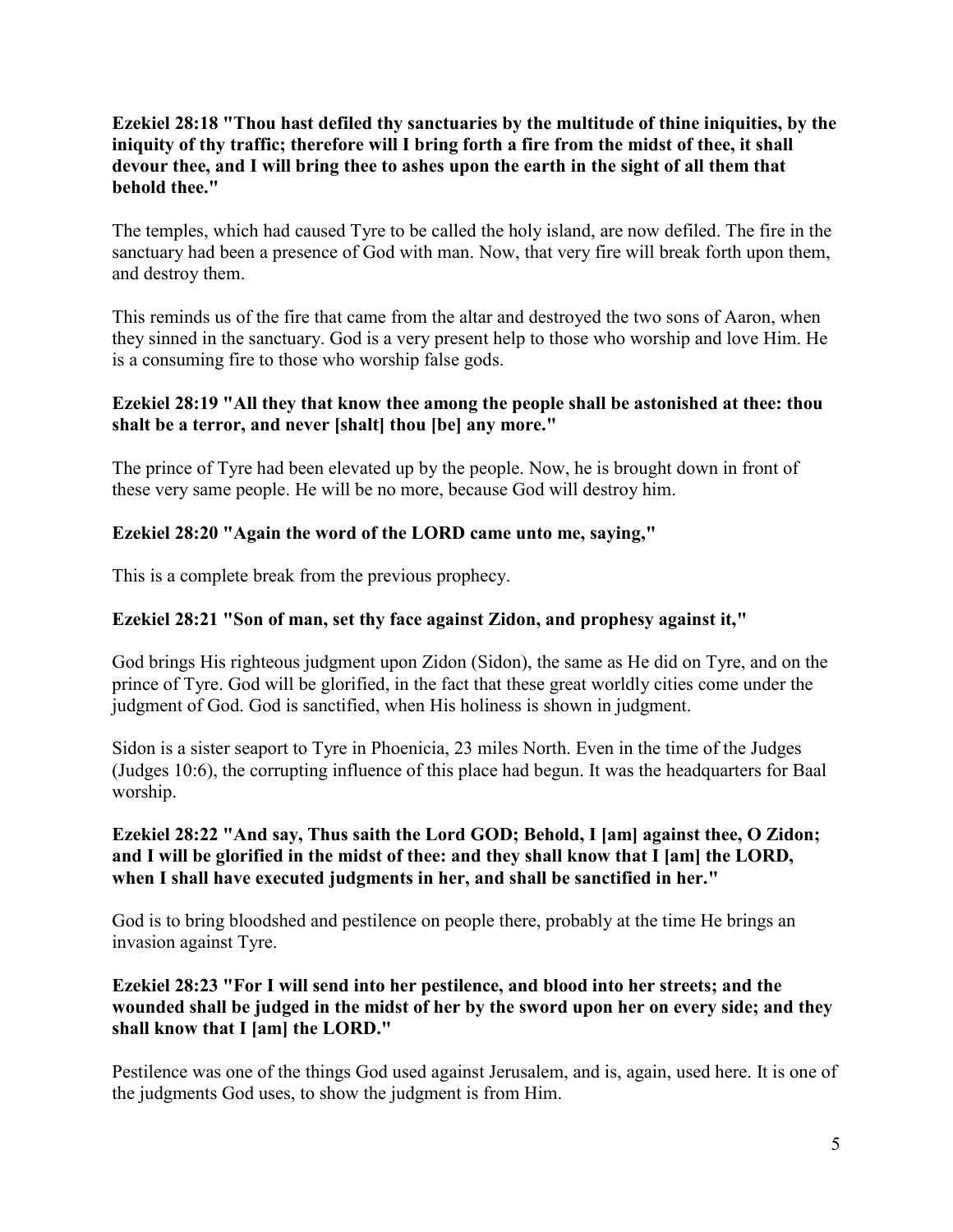# **Ezekiel 28:18 "Thou hast defiled thy sanctuaries by the multitude of thine iniquities, by the iniquity of thy traffic; therefore will I bring forth a fire from the midst of thee, it shall devour thee, and I will bring thee to ashes upon the earth in the sight of all them that behold thee."**

The temples, which had caused Tyre to be called the holy island, are now defiled. The fire in the sanctuary had been a presence of God with man. Now, that very fire will break forth upon them, and destroy them.

This reminds us of the fire that came from the altar and destroyed the two sons of Aaron, when they sinned in the sanctuary. God is a very present help to those who worship and love Him. He is a consuming fire to those who worship false gods.

### **Ezekiel 28:19 "All they that know thee among the people shall be astonished at thee: thou shalt be a terror, and never [shalt] thou [be] any more."**

The prince of Tyre had been elevated up by the people. Now, he is brought down in front of these very same people. He will be no more, because God will destroy him.

# **Ezekiel 28:20 "Again the word of the LORD came unto me, saying,"**

This is a complete break from the previous prophecy.

# **Ezekiel 28:21 "Son of man, set thy face against Zidon, and prophesy against it,"**

God brings His righteous judgment upon Zidon (Sidon), the same as He did on Tyre, and on the prince of Tyre. God will be glorified, in the fact that these great worldly cities come under the judgment of God. God is sanctified, when His holiness is shown in judgment.

Sidon is a sister seaport to Tyre in Phoenicia, 23 miles North. Even in the time of the Judges (Judges 10:6), the corrupting influence of this place had begun. It was the headquarters for Baal worship.

### **Ezekiel 28:22 "And say, Thus saith the Lord GOD; Behold, I [am] against thee, O Zidon; and I will be glorified in the midst of thee: and they shall know that I [am] the LORD, when I shall have executed judgments in her, and shall be sanctified in her."**

God is to bring bloodshed and pestilence on people there, probably at the time He brings an invasion against Tyre.

# **Ezekiel 28:23 "For I will send into her pestilence, and blood into her streets; and the wounded shall be judged in the midst of her by the sword upon her on every side; and they shall know that I [am] the LORD."**

Pestilence was one of the things God used against Jerusalem, and is, again, used here. It is one of the judgments God uses, to show the judgment is from Him.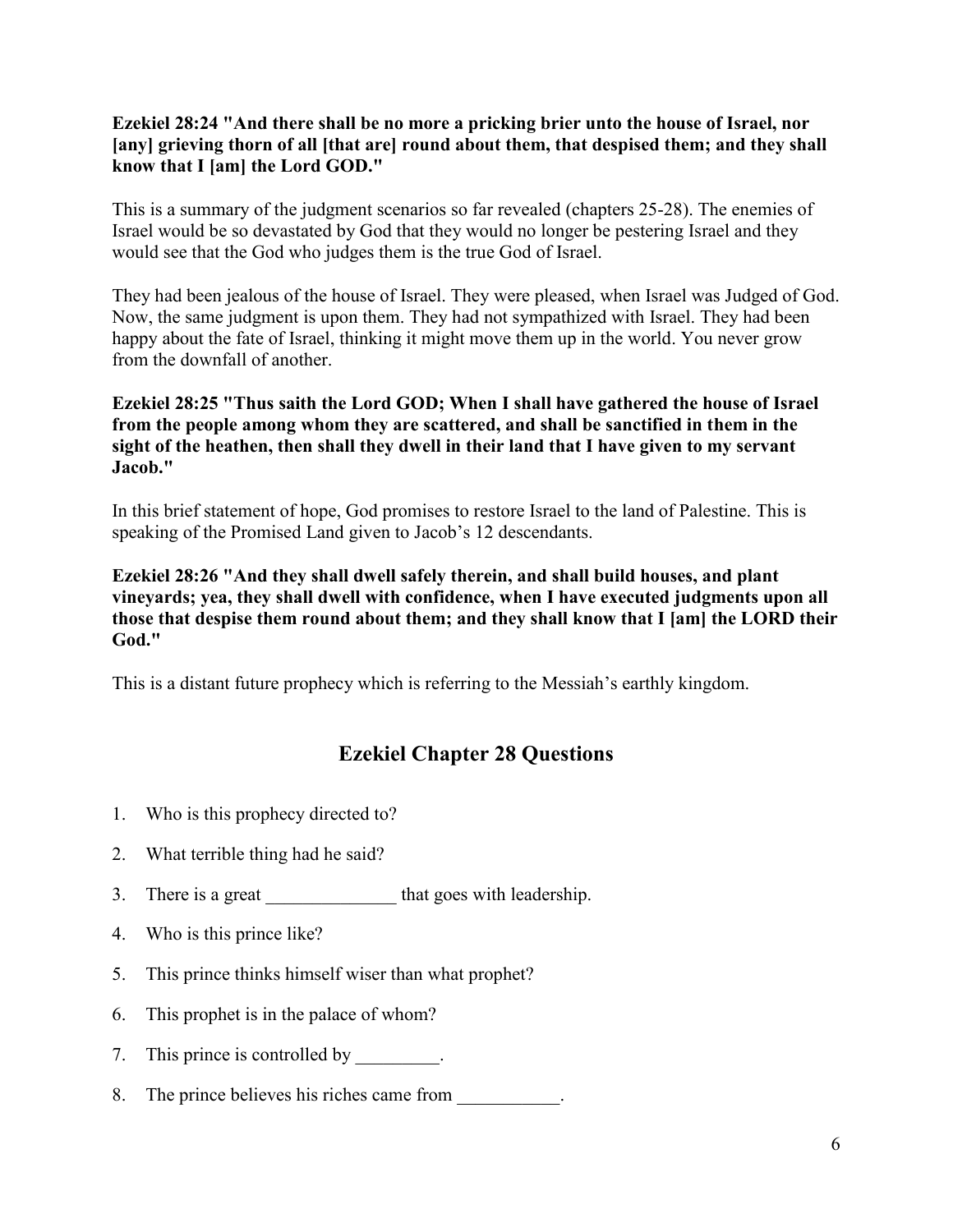# **Ezekiel 28:24 "And there shall be no more a pricking brier unto the house of Israel, nor [any] grieving thorn of all [that are] round about them, that despised them; and they shall know that I [am] the Lord GOD."**

This is a summary of the judgment scenarios so far revealed (chapters 25-28). The enemies of Israel would be so devastated by God that they would no longer be pestering Israel and they would see that the God who judges them is the true God of Israel.

They had been jealous of the house of Israel. They were pleased, when Israel was Judged of God. Now, the same judgment is upon them. They had not sympathized with Israel. They had been happy about the fate of Israel, thinking it might move them up in the world. You never grow from the downfall of another.

### **Ezekiel 28:25 "Thus saith the Lord GOD; When I shall have gathered the house of Israel from the people among whom they are scattered, and shall be sanctified in them in the sight of the heathen, then shall they dwell in their land that I have given to my servant Jacob."**

In this brief statement of hope, God promises to restore Israel to the land of Palestine. This is speaking of the Promised Land given to Jacob's 12 descendants.

**Ezekiel 28:26 "And they shall dwell safely therein, and shall build houses, and plant vineyards; yea, they shall dwell with confidence, when I have executed judgments upon all those that despise them round about them; and they shall know that I [am] the LORD their God."**

This is a distant future prophecy which is referring to the Messiah's earthly kingdom.

# **Ezekiel Chapter 28 Questions**

- 1. Who is this prophecy directed to?
- 2. What terrible thing had he said?
- 3. There is a great \_\_\_\_\_\_\_\_\_\_\_\_\_\_\_\_\_ that goes with leadership.
- 4. Who is this prince like?
- 5. This prince thinks himself wiser than what prophet?
- 6. This prophet is in the palace of whom?
- 7. This prince is controlled by
- 8. The prince believes his riches came from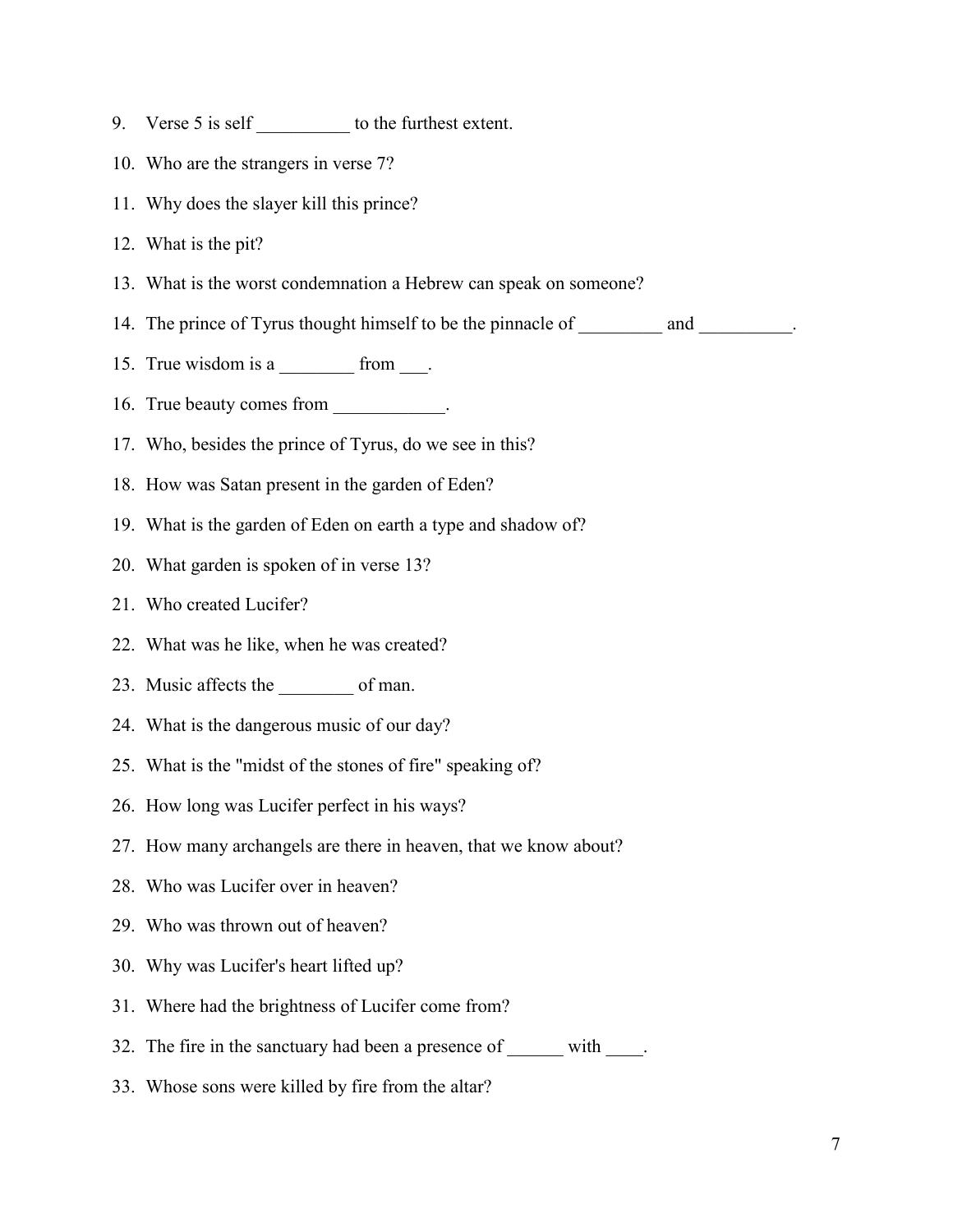- 9. Verse 5 is self to the furthest extent.
- 10. Who are the strangers in verse 7?
- 11. Why does the slayer kill this prince?
- 12. What is the pit?
- 13. What is the worst condemnation a Hebrew can speak on someone?
- 14. The prince of Tyrus thought himself to be the pinnacle of \_\_\_\_\_\_\_\_\_\_ and \_\_\_\_\_\_\_\_\_.
- 15. True wisdom is a  $\frac{1}{2}$  from  $\frac{1}{2}$ .
- 16. True beauty comes from \_\_\_\_\_\_\_\_\_\_\_.
- 17. Who, besides the prince of Tyrus, do we see in this?
- 18. How was Satan present in the garden of Eden?
- 19. What is the garden of Eden on earth a type and shadow of?
- 20. What garden is spoken of in verse 13?
- 21. Who created Lucifer?
- 22. What was he like, when he was created?
- 23. Music affects the \_\_\_\_\_\_\_\_ of man.
- 24. What is the dangerous music of our day?
- 25. What is the "midst of the stones of fire" speaking of?
- 26. How long was Lucifer perfect in his ways?
- 27. How many archangels are there in heaven, that we know about?
- 28. Who was Lucifer over in heaven?
- 29. Who was thrown out of heaven?
- 30. Why was Lucifer's heart lifted up?
- 31. Where had the brightness of Lucifer come from?
- 32. The fire in the sanctuary had been a presence of \_\_\_\_\_\_\_ with \_\_\_\_\_.
- 33. Whose sons were killed by fire from the altar?